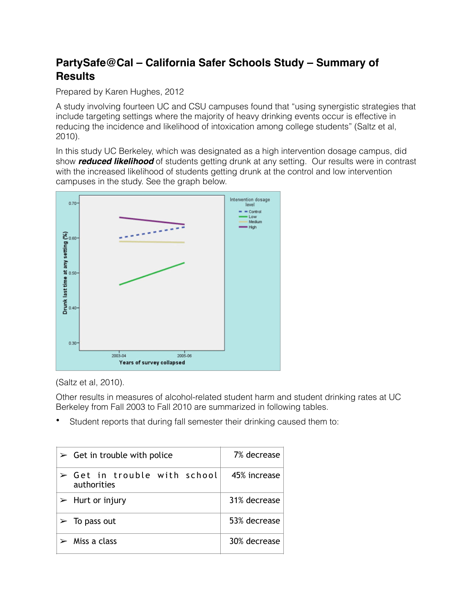## **PartySafe@Cal – California Safer Schools Study – Summary of Results**

Prepared by Karen Hughes, 2012

A study involving fourteen UC and CSU campuses found that "using synergistic strategies that include targeting settings where the majority of heavy drinking events occur is effective in reducing the incidence and likelihood of intoxication among college students" (Saltz et al, 2010).

In this study UC Berkeley, which was designated as a high intervention dosage campus, did show *reduced likelihood* of students getting drunk at any setting. Our results were in contrast with the increased likelihood of students getting drunk at the control and low intervention campuses in the study. See the graph below.



(Saltz et al, 2010).

Other results in measures of alcohol-related student harm and student drinking rates at UC Berkeley from Fall 2003 to Fall 2010 are summarized in following tables.

Student reports that during fall semester their drinking caused them to:

| $\triangleright$ Get in trouble with police                | 7% decrease  |
|------------------------------------------------------------|--------------|
| $\triangleright$ Get in trouble with school<br>authorities | 45% increase |
| $\triangleright$ Hurt or injury                            | 31% decrease |
| $\triangleright$ To pass out                               | 53% decrease |
| $\triangleright$ Miss a class                              | 30% decrease |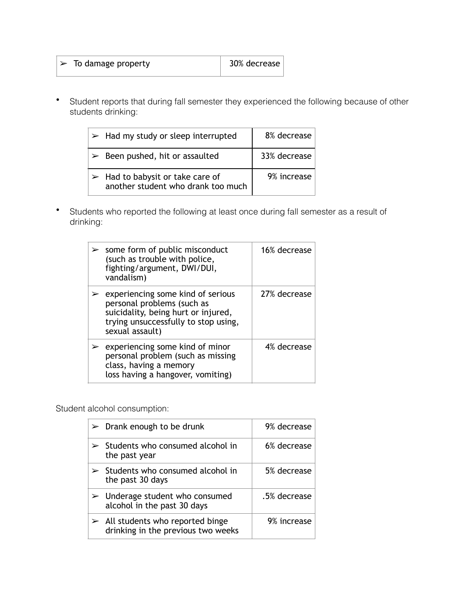| $\triangleright$ To damage property | 30% decrease |
|-------------------------------------|--------------|
|                                     |              |

• Student reports that during fall semester they experienced the following because of other students drinking:

| $\triangleright$ Had my study or sleep interrupted                                    | 8% decrease  |
|---------------------------------------------------------------------------------------|--------------|
| $\triangleright$ Been pushed, hit or assaulted                                        | 33% decrease |
| $\triangleright$ Had to babysit or take care of<br>another student who drank too much | 9% increase  |

• Students who reported the following at least once during fall semester as a result of drinking:

| $\geq$ some form of public misconduct<br>(such as trouble with police,<br>fighting/argument, DWI/DUI,<br>vandalism)                                                                | 16% decrease |
|------------------------------------------------------------------------------------------------------------------------------------------------------------------------------------|--------------|
| $\triangleright$ experiencing some kind of serious<br>personal problems (such as<br>suicidality, being hurt or injured,<br>trying unsuccessfully to stop using,<br>sexual assault) | 27% decrease |
| $\triangleright$ experiencing some kind of minor<br>personal problem (such as missing<br>class, having a memory<br>loss having a hangover, vomiting)                               | 4% decrease  |

Student alcohol consumption:

| $\triangleright$ Drank enough to be drunk                                              | 9% decrease  |
|----------------------------------------------------------------------------------------|--------------|
| $\geq$ Students who consumed alcohol in<br>the past year                               | 6% decrease  |
| $\geq$ Students who consumed alcohol in<br>the past 30 days                            | 5% decrease  |
| $\triangleright$ Underage student who consumed<br>alcohol in the past 30 days          | .5% decrease |
| $\triangleright$ All students who reported binge<br>drinking in the previous two weeks | 9% increase  |